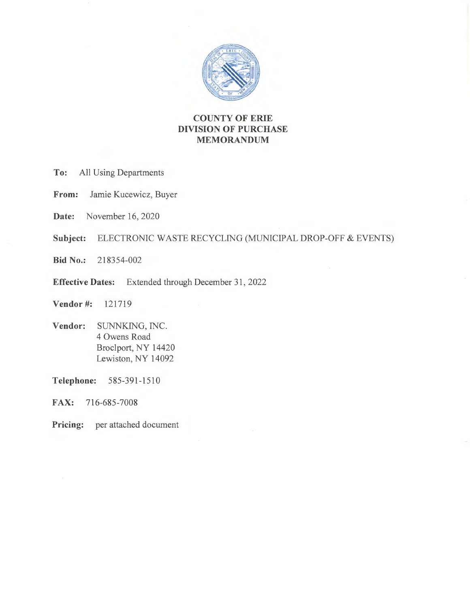

# **COUNTY OF ERIE DIVISION OF PURCHASE MEMORANDUM**

- **To:** All Using Departments
- **From:** Jamie Kucewicz, Buyer
- **Date:** November 16, 2020
- **Subject:** ELECTRONIC WASTE RECYCLING (MUNICIPAL DROP-OFF & EVENTS)
- **Bid No.:** 218354-002
- **Effective Dates:** Extended through December 31, 2022
- **Vendor** #: 121719
- **Vendor:** SUNNKING, INC. 4 Owens Road Broclport, NY 14420 Lewiston, NY 14092

**Telephone:** 585-391-1510

**FAX:** 716-685-7008

Pricing: per attached document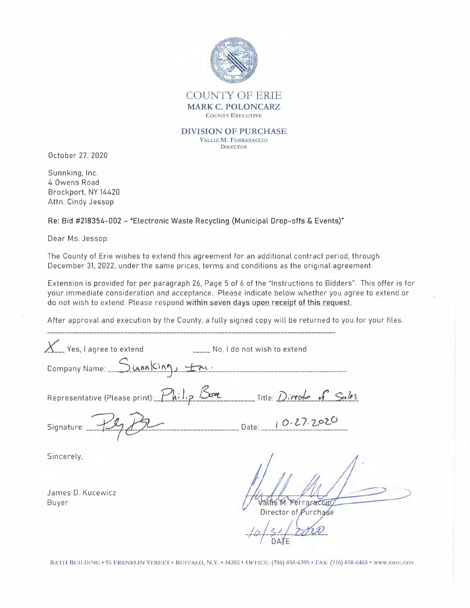

#### **DIVISION OF PURCHASE**  VALLIE **M.** FERRARACCIO

DIRECTOR

October 27, 2020

Sunnking, Inc. 4 Owens Road Brockport, NY 14420 Attn: Cindy Jessop

Re: Bid #218354-002 - "Electronic Waste Recycling (Municipal Drop-offs & Events)"

Dear Ms. Jessop:

The County of Erie wishes to extend this agreement for an additional contract period, through December 31, 2022, under the same prices, terms and conditions as the original agreement.

Extension is provided for per paragraph 26, Page 5 of 6 of the "Instructions to Bidders". This offer is for your immediate consideration and acceptance. Please indicate below whether you agree to extend or do not wish to extend. Please respond within seven days upon receipt of this request.

After approval and execution by the County, a fully signed copy will be returned to you for your files. -------------------------------------------------- --- -----------------

| $\chi$ Yes, I agree to extend                                       | Wo, I do not wish to extend |
|---------------------------------------------------------------------|-----------------------------|
| Company Name: Sunn King, tru.                                       |                             |
| Representative (Please print): Philip Bove Title: Director of Sales |                             |
| Signature: ___                                                      | Date: 10.27.2020            |
| Sincerely,                                                          |                             |
| James D. Kucewicz<br>Buyer                                          | Ferraraccio                 |

Director of Purchase  $16/50/2$ 

RATH BUILDING • 95 FRANKLIN STREET • BUFFALO, N.Y. • 14202 • OFFICE: (716) 858-6395 • FAX: (716) 858-6465 • WWW.ERIE.GOV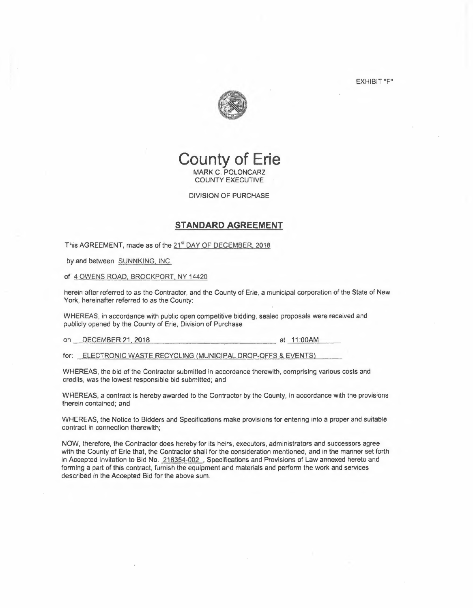EXHIBIT "F"



# **County of Erie MARK** C. POLONCARZ COUNTY EXECUTIVE

DIVISION OF PURCHASE

### **STANDARD AGREEMENT**

This AGREEMENT, made as of the 21<sup>st</sup> DAY OF DECEMBER, 2018

by and between SUNNKING, INC.

of 4 OWENS ROAD, BROCKPORT. NY 14420

herein after referred to as the Contractor, and the County of Erie, a municipal corporation of the State of New York, hereinafter referred to as the County:

WHEREAS, in accordance with public open competitive bidding, sealed proposals were received and publicly opened by the County of Erie, Division of Purchase

on DECEMBER 21, 2018 **at 11:00AM** 

for: ELECTRONIC WASTE RECYCLING {MUNICIPAL DROP-OFFS & EVENTS)

WHEREAS, the bid of the Contractor submitted in accordance therewith, comprising various costs and credits, was the lowest responsible bid submitted; and

WHEREAS, a contract is hereby awarded to the Contractor by the County, in accordance with the provisions therein contained; and

WHEREAS, the Notice to Bidders and Specifications make provisions for entering into a proper and suitable contract in connection therewith;

NOW, therefore, the Contractor does hereby for its heirs, executors, administrators and successors agree with the County of Erie that, the Contractor shall for the consideration mentioned, and in the manner set forth in Accepted Invitation to Bid No. 218354-002. Specifications and Provisions of Law annexed hereto and forming a part of this contract, furnish the equipment and materials and perform the work and services described in the Accepted Bid for the above sum.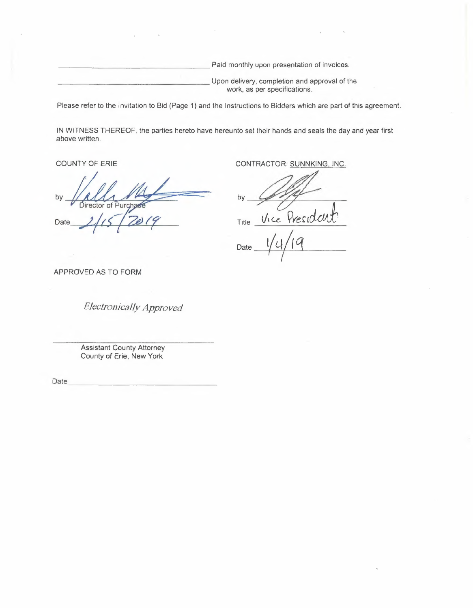Paid monthly upon presentation of invoices.

Upon delivery, completion and approval of the work, as per specifications.

Please refer to the Invitation to Bid (Page 1) and the Instructions to Bidders which are part of this agreement.

IN WITNESS THEREOF, the parties hereto have hereunto set their hands and seals the day and year first above written.

by lirector urci

Date

COUNTY OF ERIE CONTRACTOR: **SUNNKING,** INC.

by<br>By<br>Title Vice President<sup>h</sup><br>By<br>Title Vice President Title *Vice Yves* 10 Title  $\frac{V_{\text{rec}} \text{President}}{|/4/19}$ 

 $\frac{1}{2}$ 

APPROVED AS TO FORM

*Electronically Approved* 

Assistant County Attorney County of Erie, New York

Date \_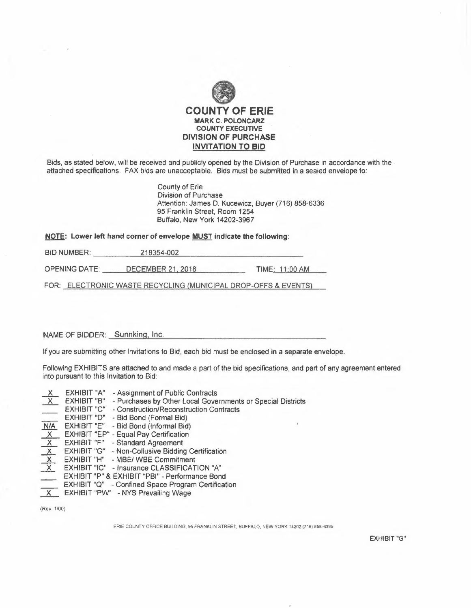

Bids, as stated below, will be received and publicly opened by the Division of Purchase in accordance with the attached specifications. FAX bids are unacceptable. Bids must be submitted in a sealed envelope to:

> County of Erie Division of Purchase Attention: James D. Kucewicz, Buyer (716) 858-6336 95 Franklin Street, Room 1254 Buffalo, New York 14202-3967

| NOTE: Lower left hand corner of envelope MUST indicate the following: |                          |                |
|-----------------------------------------------------------------------|--------------------------|----------------|
| <b>BID NUMBER:</b>                                                    | 218354-002               |                |
| OPENING DATE:                                                         | <b>DECEMBER 21, 2018</b> | TIME: 11:00 AM |

FOR: ELECTRONIC WASTE RECYCLING (MUNICIPAL DROP-OFFS & EVENTS)

### NAME OF BIDDER: Sunnking, Inc.

If you are submitting other Invitations to Bid, each bid must be enclosed in a separate envelope.

Following EXHIBITS are attached to and made a part of the bid specifications, and part of any agreement entered into pursuant to this Invitation to Bid:

| $\overline{\mathsf{X}}$ | <b>EXHIBIT "A"</b> | - Assignment of Public Contracts                            |  |
|-------------------------|--------------------|-------------------------------------------------------------|--|
| X                       | EXHIBIT "B"        | - Purchases by Other Local Governments or Special Districts |  |
| $\frac{\sqrt{M}}{N/A}$  | <b>EXHIBIT "C"</b> | - Construction/Reconstruction Contracts                     |  |
|                         | EXHIBIT "D"        | - Bid Bond (Formal Bid)                                     |  |
|                         | EXHIBIT "E"        | - Bid Bond (Informal Bid)                                   |  |
| $\overline{X}$          |                    | EXHIBIT "EP" - Equal Pay Certification                      |  |
| $\frac{X}{X}$           | <b>EXHIBIT "F"</b> | - Standard Agreement                                        |  |
|                         | <b>EXHIBIT "G"</b> | - Non-Collusive Bidding Certification                       |  |
|                         | EXHIBIT "H"        | - MBE/ WBE Commitment                                       |  |
|                         |                    | EXHIBIT "IC" - Insurance CLASSIFICATION "A"                 |  |
| $\Box$                  |                    | EXHIBIT "P" & EXHIBIT "PBI" - Performance Bond              |  |
| فتنكم                   |                    | EXHIBIT "Q" - Confined Space Program Certification          |  |
| X                       |                    | <b>EXHIBIT "PW" - NYS Prevailing Wage</b>                   |  |

(Rev. 1100)

ERIE COUNTY OFFICE BUILDING, 95 FRANKLIN STREET, BUFFALO, NEW YORK 14202 (716) 858-6395

EXHIBIT "G"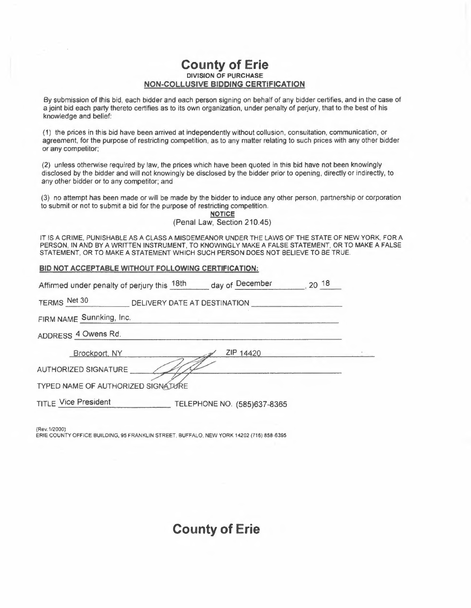# **County of Erie DIVISION OF PURCHASE NON-COLLUSIVE BIDDING CERTIFICATION**

By submission of this bid, each bidder and each person signing on behalf of any bidder certifies, and in the case of a joint bid each party thereto certifies as to its own organization, under penalty of perjury, that to the best of his knowledge and belief:

(1) the prices in this bid have been arrived at independently without collusion, consultation, communication, or agreement, for the purpose of restricting competition, as to any matter relating to such prices with any other bidder or any competitor;

(2) unless otherwise required by law, the prices which have been quoted in this bid have not been knowingly disclosed by the bidder and will not knowingly be disclosed by the bidder prior to opening, directly or indirectly, to any other bidder or to any competitor; and

(3) no attempt has been made or will be made by the bidder to induce any other person, partnership or corporation to submit or not to submit a bid for the purpose of restricting competition.

### (Penal Law, Section 210.45)

IT IS A CRIME, PUNISHABLE AS A CLASS A MISDEMEANOR UNDER THE LAWS OF THE STATE OF NEW YORK, FOR A PERSON, IN AND BY A WRITTEN INSTRUMENT, TO KNOWINGLY MAKE A FALSE STATEMENT, OR TO MAKE A FALSE STATEMENT, OR TO MAKE A STATEMENT WHICH SUCH PERSON DOES NOT BELIEVE TO BE TRUE

### **BID NOT ACCEPTABLE WITHOUT FOLLOWING CERTIFICATION:**

| BID NOT ACCEPTABLE WITHOUT FOLLOWING CERTIFICATION:               |  |
|-------------------------------------------------------------------|--|
| Affirmed under penalty of perjury this 18th day of December 20 18 |  |
| TERMS Net 30 DELIVERY DATE AT DESTINATION                         |  |
| FIRM NAME Sunnking, Inc.                                          |  |
| ADDRESS 4 Owens Rd.                                               |  |
| ZIP 14420<br>Brockport, NY                                        |  |
| AUTHORIZED SIGNATURE                                              |  |
| TYPED NAME OF AUTHORIZED SIGNATURE                                |  |
| <b>TITLE Vice President</b><br>TELEPHONE NO. (585)637-8365        |  |

(Rev.1 /2000) ERIE COUNTY OFFICE BUILDING, 95 FRANKLIN STREET, BUFFALO, NEW YORK 14202 (716) 858-6395

# **County of Erie**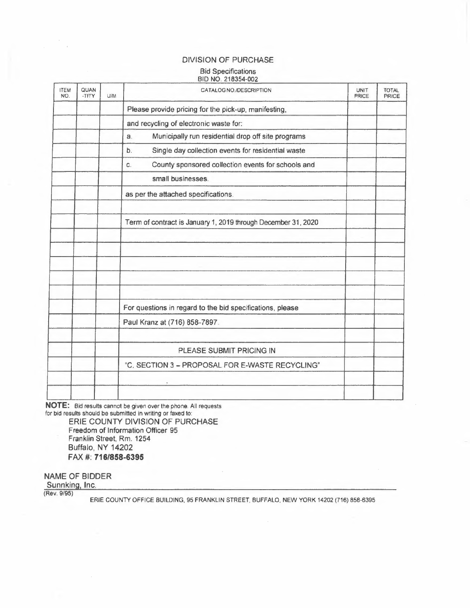## DIVISION OF PURCHASE

#### Bid Specifications BID NO. 218354-002

| <b>ITEM</b><br>NO. | QUAN<br>-TITY | U/M | CATALOG NO./DESCRIPTION                                       | <b>UNIT</b><br><b>PRICE</b> | <b>TOTAL</b><br>PRICE |
|--------------------|---------------|-----|---------------------------------------------------------------|-----------------------------|-----------------------|
|                    |               |     | Please provide pricing for the pick-up, manifesting,          |                             |                       |
|                    |               |     | and recycling of electronic waste for:                        |                             |                       |
|                    |               |     | Municipally run residential drop off site programs<br>a.      |                             |                       |
|                    |               |     | Single day collection events for residential waste<br>b.      |                             |                       |
|                    |               |     | County sponsored collection events for schools and<br>C.      |                             |                       |
|                    |               |     | small businesses.                                             |                             |                       |
|                    |               |     | as per the attached specifications.                           |                             |                       |
|                    |               |     | Term of contract is January 1, 2019 through December 31, 2020 |                             |                       |
|                    |               |     |                                                               |                             |                       |
|                    |               |     | For questions in regard to the bid specifications, please     |                             |                       |
|                    |               |     | Paul Kranz at (716) 858-7897.                                 |                             |                       |
|                    |               |     | PLEASE SUBMIT PRICING IN                                      |                             |                       |
|                    |               |     | "C. SECTION 3 - PROPOSAL FOR E-WASTE RECYCLING"               |                             |                       |
|                    |               |     |                                                               |                             |                       |

**NOTE:** Bid results cannot be given over the phone. All requests for bid results should be submitted in writing or faxed to: ERIE COUNTY DIVISION OF PURCHASE Freedom of Information Officer 95 Franklin Street, Rm. 1254 Buffalo, NY 14202 FAX#: **716/858-6395** 

NAME OF BIDDER

Sunnking, Inc.

(Rev. 9/95)

ERIE COUNTY OFFICE BUILDING, 95 FRANKLIN STREET, BUFFALO, NEW YORK 14202 (716) 858-6395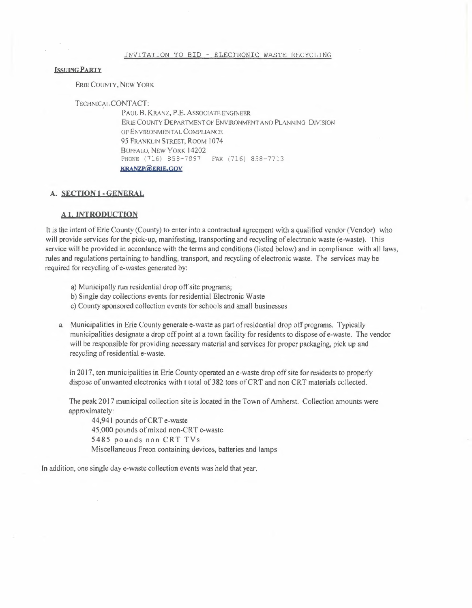#### INVITATION TO BID - ELECTRONIC WASTE RECYCLING

#### **LSSUING PARTY**

**ERIE COUNTY, NEW YORK** 

TECHNICAr.CONTACT:

PAUL B. KRANZ, P.E. ASSOCIATE ENGINEER ERIE COUNTY DEPARTMENT OF ENVIRONMENT AND PLANNING DIVISION OF ENVIRONMENTAL COMPLIANCE 95 FRANKUN STREET, ROOM 1074 BUFFALO, NEW YORK 14202 PHONE (716) 858-7897. FAX (716) 858-7713 **KßANZP@f:ßJE,ÇQY** 

#### **A. SECTION** I - **GENERAL**

#### **A I, INTRODUCTION**

It is the intent of Erie County (County) to enter into a contractual agreement with a qualified vendor (Vendor) who will provide services for the pick-up, manifesting, transporting and recycling of electronic waste (e-waste). This service will be provided in accordance with the terms and conditions (listed below) and in compliance with all laws, rules and regulations pertaining to handling, transport, and recycling of electronic waste. The services may be required for recycling of e-wastes generated by:

- a) Municipally run residential drop off site programs;
- b) Single day collections events for residential Electronic Waste
- c) County sponsored collection events for schools and small businesses
- a. Municipalities in Erie County generate e-waste as part of residential drop off programs. Typically municipalities designate a drop off point at a town facility for residents to dispose of e-waste. The vendor will be responsible for providing necessary material and services for proper packaging, pick up and recycling of residential e-waste.

In 2017, ten municipalities in Erie County operated an e-waste drop off site for residents to properly dispose of unwanted electronics with t total of 382 tons of CRT and non CRT materials collected.

The peak 2017 municipal collection site is located in the Town of Amherst. Collection amounts were approximately:

44,941 pounds of CRT e-waste 45,000 pounds of mixed non-CRT e-waste 5485 pounds non CRT TVs Miscellaneous Freon containing devices, batteries and lamps

In addition, one single day e-waste collection events was held that year.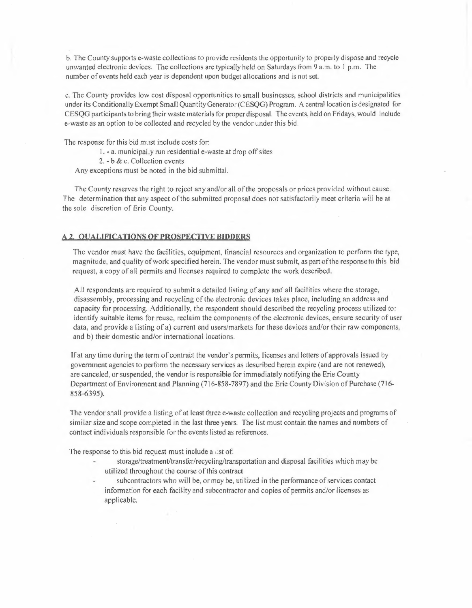b. The County supports e-waste collections to provide residents the opportunity to properly dispose and recycle unwanted electronic devices. The collections are typically held on Saturdays from 9 a.m. to l p.rn. The number of events held each year is dependent upon budget allocations and is not set.

c. The County provides low cost disposal opportunities to small businesses, school districts and municipalities under its Conditionally Exempt Small Quantity Generator (CESQG) Program. A central location is designated for CESQG participants to bring their waste materials for proper disposal. The events, held on Fridays, would include e-waste as an option to be collected and recycled by the vendor under this bid.

The response for this bid must include costs for:

I. -a.municipally run residential e-waste at drop off sites

2. - b & c. Collection events

Any exceptions must be noted in the bid submittal.

The County reserves the right to reject any and/or all of the proposals or prices provided without cause. The determination that any aspect of the submitted proposal does not satisfactorily meet criteria will be at the sole discretion of Erie County.

#### **A 2, QUALIFICATIONS Of PßQSPECTIYE BIDDERS**

The vendor must have the facilities, equipment, financial resources and organization to perform the type, magnitude, and quality of work specified herein. The vendor must submit, as part of the response to this bid request, a copy of all permits and licenses required to complete the work described.

All respondents are required to submit a detailed listing of any and all facilities where the storage, disassembly, processing and recycling of the electronic devices takes place, including an address and capacity for processing. Additionally, the respondent should described the recycling process utilized to: identify suitable items for reuse, reclaim the components of the electronic devices, ensure security of user data, and provide a listing of a) current end users/markets for these devices and/or their raw components, and b) their domestic and/or international locations.

If at any time during the term of contract the vendor's permits, licenses and letters of approvals issued by government agencies to perform the necessary services as described herein expire (and are not renewed), are canceled, or suspended, the vendor is responsible for immediately notifying the Erie County Department of Environment and Planning (716-858-7897) and the Erie County Division of Purchase (716- 858-6395).

The vendor shall provide a listing of at least three e-waste collection and recycling projects and programs of similar size and scope completed in the last three years. The list must contain the names and numbers of contact individuals responsible for the events listed as references.

The response to this bid request must include a list of:

- stomge/treatment/transfer/recycling/transportation and disposal facilities which may be utilized throughout the course of this contract
- subcontractors who will be, or may be, utilized in the performance of services contact information for each facility and subcontractor and copies of perm its and/or licenses as applicable.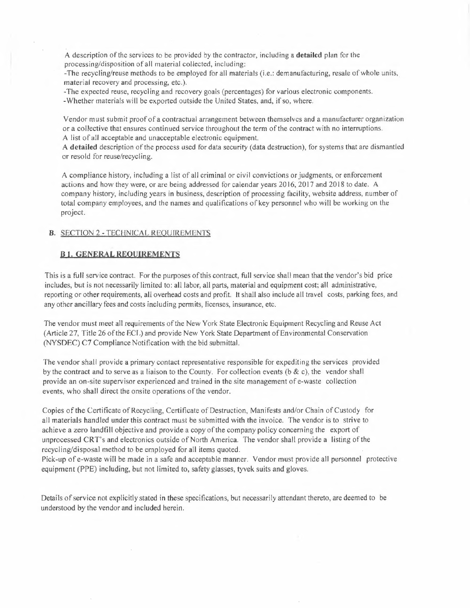A description of the services to be provided by the contractor, including a **detailed** plan for the processing/disposition of all material collected, including:

-The recycling/reuse methods to be employed for all materials (i.e.: demanufacturing, resale of whole units, material recovery and processing, etc.).

-The expected reuse, recycling and recovery goals (percentages) for various electronic components.

-Whether materials will be exported outside the United States, and, if so, where.

Vendor must submit proof of a contractual arrangement between themselves and a manufacturer organization or a collective that ensures continued service throughout the term of the contract with no interruptions. A list of all acceptable and unacceptable electronic equipment.

A **detailed** description of the process used for data security (data destruction), for systems that are dismantled or resold for reuse/recycling.

A compliance history, including a list of all criminal or civil convictions or judgments, or enforcement actions and how they were, or are being addressed for calendar years 2016; 2017 and 2018 to date. A company history, including years in business, description of processing facility, website address, number of total company employees, and the names and qualifications of key personnel who will be working on the project.

### **B.** SECTION 2 -TECHNICAL REQUIREMENTS

### **B.I. GENERAL REQUIREMENTS**

This is a full service contract. For the purposes of this contract, full service shall mean that the vendor's bid price includes, but is not necessarily limited to: all labor, all parts, material and equipment cost; all administrative, reporting or other requirements, all overhead costs and profit. lt shall also include all travel costs, parking fees, and any other ancillary fees and costs including permits, licenses, insurance, etc.

The vendor must meet all requirements of the New York State Electronic Equipment Recycling and Reuse Act (Article 27, Title 26 of the ECJ .) and provide New York State Department of Environmental Conservation (NYSDEC) C7 Compliance Notification with the bid submittal.

The vendor shall provide a primary contact representative responsible for expediting the services provided by the contract and to serve as a liaison to the County. For collection events ( $\delta \& c$ ), the vendor shall provide an on-site supervisor experienced and trained in the site management of e-waste collection events, who shall direct the onsite operations of the vendor.

Copies of the Certificate of Recycling, Certificate of Destruction, Manifests and/or Chain of Custody for all materials handled under this contract must be submitted with the invoice. The vendor is to strive to achieve a zero landfill objective and provide a copy of the company policy concerning the export of unprocessed CR T's and electronics outside of North America. The vendor shall provide a listing of the recycling/disposal method to be employed for all items quoted.

Pick-up of e-waste will be made in a safe and acceptable manner. Vendor must provide all personnel protective equipment (PPE) including, but not limited to, safety glasses, tyvek suits and gloves.

Details of service not explicitly stated in these specifications, but necessarily attendant thereto, are deemed to be understood by the vendor and included herein.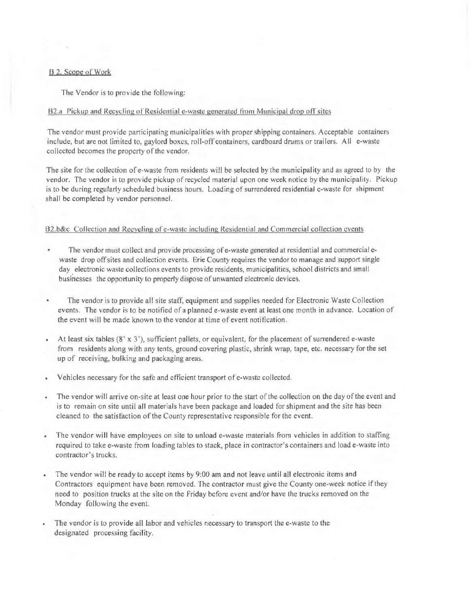### B 2. Scope of Work

The Vendor is to provide the following:

### 82.a Pickup and Recycling of Residential e-waste generated from Municipal drop off sites

The vendor must provide participating municipalities with proper shipping containers. Acceptable containers include, but are not Jim ited to, gaylord boxes, roll-off containers, cardboard drums or trailers. All e-waste collected becomes the property of the vendor.

The site for the collection of e-waste from residents will be selected by the municipality and as agreed to by the vendor. The vendor is to provide pickup of recycled material upon one week notice by the municipality. Pickup is to be during regularly scheduled business hours. Loading of surrendered residential e-waste for shipment shall be completed by vendor personnel.

#### B2.b&c Collection and Recycling of e-waste including Residential and Commercial collection events

- The vendor must collect and provide processing of e-waste generated at residential and commercial e- $\bullet$ waste drop off sites and collection events. Erie County requires the vendor to manage and support single day electronic waste collections events to provide residents, municipalities, school districts and small businesses the opportunity to properly dispose of unwanted electronic devices.
- The vendor is *to* provide all site staff, equipment and supplies needed for Electronic Waste Collection events. The vendor is to be notified of a planned e-waste event at least one month in advance. Location of the event will be made known to the vendor at time of event notification.
- At least six tables  $(8' \times 3')$ , sufficient pallets, or equivalent, for the placement of surrendered e-waste  $\bullet$ from residents along with any tents, ground covering plastic, shrink wrap, tape, etc. necessary for the set up of receiving, bulking and packaging areas.
- Vehicles necessary for the safe and efficient transport of e-waste collected.
- The vendor will arrive on-site at least one hour prior to the start of the collection on the day of the event and is to remain on site until all materials have been package and loaded for shipment and the site has been cleaned to the satisfaction of the County representative responsible for the event.
- The vendor will have employees on site to unload e-waste materials from vehicles in addition to staffing required *to* take e-waste from loading tables to stack, place in contractor's containers and load e-waste into contractor's trucks.
- The vendor will be ready to accept items by 9:00 am and not leave until all electronic items and Contractors equipment have been removed. The contractor must give the County one-week notice if they need to position trucks at the site on the Friday before event and/or have the trucks removed on the Monday following the event.
- The vendor is to provide all labor and vehicles necessary to transport the e-waste to the designated processing facility.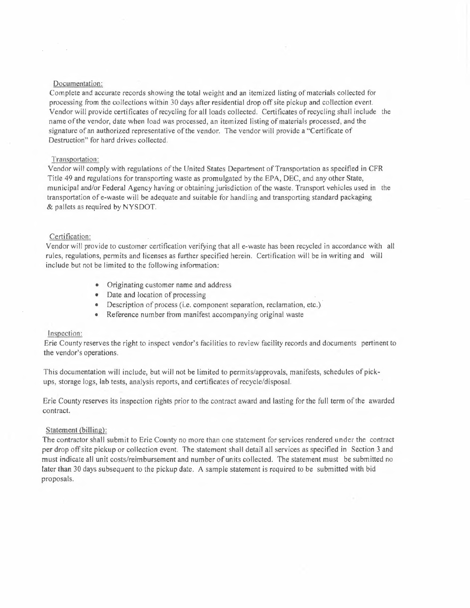#### Documentation:

Complete and accurate records showing the total weight and an itemized listing of materials collected for processing from the collections within 30 days after residential drop off site pickup and collection event. Vendor will provide certificates of recycling for all loads collected. Certificates of recycling shall include the name of the vendor, date when load was processed, an itemized listing of materials processed, and the signature of an authorized representative of the vendor. The vendor will provide a "Certificate of Destruction" for hard drives collected.

### Transportation:

Vendor will comply with regulations of the United **States** Department of Transportation as specified in CFR Title 49 and regulations for transporting waste as promulgated by the EPA, DEC, and any other State, municipal and/or Federal Agency having or obtaining jurisdiction of the waste. Transport vehicles used in the transportation of e-waste will be adequate and suitable for handling and transporting standard packaging & pallets as required by NYSDOT.

#### Certification:

Vendor will provide to customer certification verifying that all e-waste has been recycled in accordance with all rules, regulations, permits and licenses as further specified herein. Certification will be in writing and will include but not be limited to the following information:

- Originating customer name and address
- Date and location of processing
- Description of process (i.e. component separation, reclamation, etc.)
- Reference number from manifest accompanying original waste

### Inspection:

Erie County reserves the right to inspect vendor's facilities to review facility records and documents pertinent to the vendor's operations.

This documentation will include, but will not be limited to permits/approvals, manifests, schedules of pickups, storage logs, lab tests, analysis reports, and certificates of recycle/disposal.

Erie County reserves its inspection rights prior to the contract award and lasting for the full term of the awarded contract.

### Statement (billing):

The contractor shall submit to Erie County no more than one statement for services rendered under the contract per drop off site pickup or collection event. The statement shall detail all services as specified in Section 3 and must indicate all unit costs/reimbursement and number of units collected. The statement must be submitted no later than 30 days subsequent to the pickup date. A sample statement is required to be submitted with bid proposals.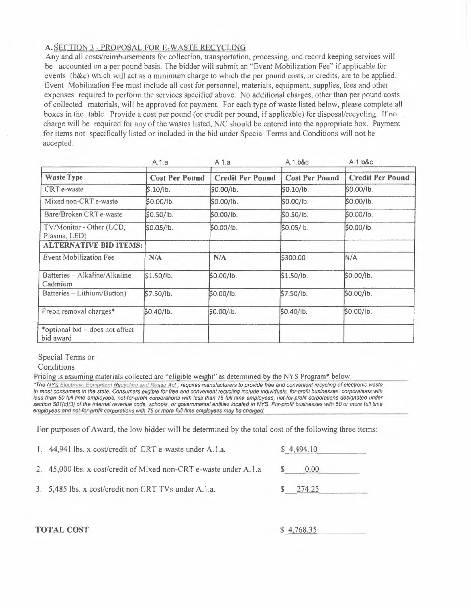### ,A.SECTION 3 - PROPOSAL FOR E-WASTE RECYCLING

Any and all costs/reimbursements for collection, transportation, processing, and record keeping services will be accounted on a per pound basis. The bidder will submit an "Event Mobilization Fee" if applicable for events (b&c) which will act as a minimum charge to which the per pound costs, or credits, are to be applied. Event Mobilization Fee must include all cost for personnel, materials, equipment, supplies, fees and other expenses required to perform the services specified above. No additional charges, other than per pound costs of collected materials, will be approved for payment. For each type of waste listed below, please complete all boxes in the table. Provide a cost per pound ( or credit per pound, if applicable) for disposal/recycling. If no charge will be required for any of the wastes listed, *NIC* should be entered into the appropriate box. Payment for items not specifically listed or included in the bid under Special Terms and Conditions will not be accepted.

|                                              | A.1.a                 | A.1.a                   | A.1.b&c               | A.1.b&c                 |
|----------------------------------------------|-----------------------|-------------------------|-----------------------|-------------------------|
| <b>Waste Type</b>                            | <b>Cost Per Pound</b> | <b>Credit Per Pound</b> | <b>Cost Per Pound</b> | <b>Credit Per Pound</b> |
| CRT e-waste                                  | \$.10/lb.             | \$0.00/lb.              | SO.10/lb.             | \$0.00/lb.              |
| Mixed non-CRT e-waste                        | \$0.00/lb.            | \$0.00/lb.              | \$0.00/lb.            | \$0.00/lb.              |
| Bare/Broken CRT e-waste                      | \$0.50/lb.            | \$0.00/lb.              | \$0.50/lb.            | \$0.00/lb.              |
| TV/Monitor - Other (LCD,<br>Plasma, LED)     | \$0.05/lb.            | \$0.00/lb.              | \$0.05/lb.            | \$0.00/lb.              |
| <b>ALTERNATIVE BID ITEMS:</b>                |                       |                         |                       |                         |
| <b>Event Mobilization Fee</b>                | N/A                   | N/A                     | \$300.00              | N/A                     |
| Batteries – Alkaline/Alkaline<br>Cadmium     | \$1.50/lb.            | \$0.00/lb.              | \$1.50/lb.            | \$0.00/lb.              |
| Batteries – Lithium/Button)                  | \$7.50/lb.            | \$0.00/lb.              | \$7.50/lb.            | SO.00/lb.               |
| Freon removal charges*                       | \$0.40/lb.            | \$0.00/lb.              | \$0.40/lb.            | \$0.00/ib.              |
| *optional bid – does not affect<br>bid award |                       |                         |                       |                         |

Special Terms or

Conditions

Pricing is assuming materials collected arc "eligible weight" as determined by the NYS Program\* below,

*\*The fj\_'fS EJ.IJ!d.t1r,\_111r; E,¡111¡.\IJJP!J.I .13..e.!;J''-Û!J!l.!l!.lf.L.Fff!Jt~i!\_\_/lFL requires manufacturers to provide free and convenient recycling of electronic waste*  to most consumers in the state. Consumers eligible for free and convenient recycling include individuals, for-profit businesses, corporations with less than 50 full time employees, not-for-profit corporations with less than 75 full time employees, not-for-profit corporations designated under section 501(c)(3) of the internal revenue code, schools, or governmental entities located in NYS. For-profit businesses with 50 or more full time *employees and not-for-profit corporations with 75 or more full lime employees may ba charged.* 

For purposes of Award, the low bidder will be determined by the total cost of the following three items:

| 1. 44,941 lbs. x cost/credit of CRT e-waste under A.1.a.          | \$4,494.10     |  |
|-------------------------------------------------------------------|----------------|--|
| 2. 45,000 lbs. x cost/credit of Mixed non-CRT e-waste under A.1.a | $0.00^{\circ}$ |  |
| 3. 5,485 lbs. x cost/credit non CRT TVs under A.1.a.              | 274.25         |  |

**TOTAL COST** \$ 4 768.35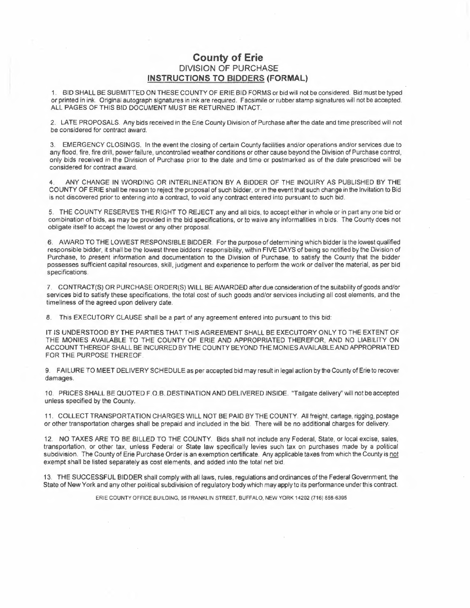## **County of Erie**  DIVISION OF PURCHASE **INSTRUCTIONS TO BIDDERS (FORMAL)**

1. BID SHALL BE SUBMITTED ON THESE COUNTY OF ERIE BID FORMS or bid will not be considered. Bid must be typed or printed in ink. Original autograph signatures in ink are required. Facsimile or rubber stamp signatures will not be accepted. ALL PAGES OF THIS BID DOCUMENT MUST BE RETURNED INTACT.

2. LATE PROPOSALS. Any bids received in the Erie County Division of Purchase after the date and time prescribed will not be considered for contract award.

3. EMERGENCY CLOSINGS. In the event the closing of certain County facilities and/or operations and/or services due to any flood, fire, fire drill, power failure, uncontrolled weather conditions or other cause beyond the Division of Purchase control, only bids received in the Division of Purchase prior to the dale and time or postmarked as of the date prescribed will be considered for contract award.

4. ANY CHANGE IN WORDING OR INTERLINEATION BY A BIDDER OF THE INQUIRY AS PUBLISHED BY THE COUNTY OF ERIE shall be reason to reject the proposal of such bidder, or in the event that such change in the Invitation to Bid is not discovered prior to entering into a contract, to void any contract entered into pursuant to such bid.

S. THE COUNTY RESERVES THE RIGHT TO REJECT any and all bids, to accept either in whole or in part any one bid or combination of bids, as may be provided in the bid specifications, or to waive any informalities in bids. The County does not obligate itself to accept the lowest or any other proposal.

6. AWARD TO THE LOWEST RESPONSIBLE BIDDER. For the purpose of determining which bidder is the lowest qualified responsible bidder, it shall be the lowest three bidders' responsibility, within FIVE DAYS of being so notified by the Division of Purchase, to present information and documentation to the Division of Purchase, to satisfy the County that the bidder possesses sufficient capital resources, skill, judgment and experience to perform the work or deliver the material, as per bid specifications.

7. CONTRACT(\$) OR PURCHASE ORDER(S) WILL BE AWARDED after due consideration of the suitability *of* goods and/or services bid to satisfy these specifications, the total cost of such goods and/or services including all cost elements, and the timeliness of the agreed upon delivery date.

8. This EXECUTORY CLAUSE shall be a part of any agreement entered into pursuant to this bid:

IT IS UNDERSTOOD BY THE PARTIES THAT THIS AGREEMENT SHALL BE EXECUTORY ONLY TO THE EXTENT OF THE MONIES AVAILABLE TO THE COUNTY OF ERIE AND APPROPRIATED THEREFOR, AND NO LIABILITY ON ACCOUNT THEREOF SHALL BE INCURRED BY THE COUNTY BEYOND THE MONIES AVAILABLE AND APPROPRIATED FOR THE PURPOSE THEREOF.

9. FAILURE TO MEET DELIVERY SCHEDULE as per accepted bid may result in legal action by the County of Erie to recover damages.

10. PRICES SHALL BE QUOTED F.O.B. DESTINATION AND DELIVERED INSIDE. "Tailgate delivery'' will not be accepted unless specified by the County.

11. COLLECT TRANSPORTATION CHARGES WILL NOT BE PAID BY THE COUNTY. All freight, cartage, rigging, postage or other transportation charges shall be prepaid and included in the bid. There will be no additional charges for delivery.

12. NO TAXES ARE TO BE BILLED TO THE COUNTY. Bids shall not include any Federal, State, or local excise, sales, transportation, or other tax, unless Federal or State law specifically levies such tax on purchases made by a political subdivision. The County of Erie Purchase Order is an exemption certificate. Any applicable taxes from which the County is not exempt shall be listed separately as cost elements, and added into the total net bid.

13. THE SUCCESSFUL BIDDER shall comply with all laws, rules, regulations and ordinances of the Federal Government, the State of New York and any other political subdivision of regulatory body which may apply to its performance under this contract.

ERIE COUNTY OFFICE BUILDING, 95 FRANKLIN STREET, BUFFALO, NEW YORK 14202 (716) 856-6395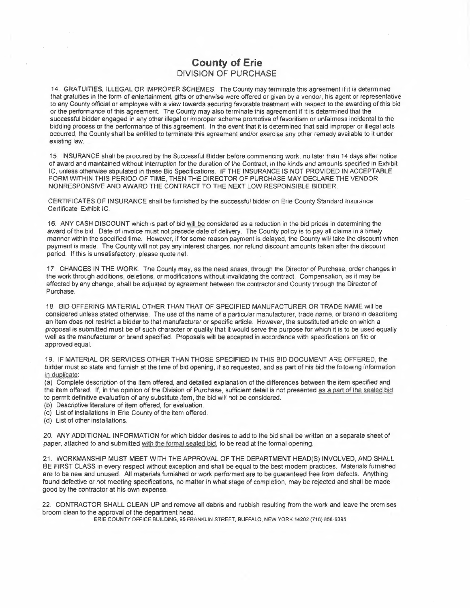# **County of Erie**  DIVISION OF PURCHASE

14. GRATUITIES, ILLEGAL OR IMPROPER SCHEMES. Thé County may terminate this agreement if it is determined that gratuities in the form of entertainment, gifts or otherwise were offered or given by a vendor, his agent or representative to any County official or employee with a view towards securing favorable treatment with respect to the awarding of this bid or the performance of this agreement. The County may also terminate this agreement if it is determined that the successful bidder engaged in any other illegal or improper scheme promotive of favoritism or unfairness incidental to the bidding process or the performance of this agreement. In the event that it is determined that said improper or illegal acts occurred, the County shall be entitled to terminate this agreement and/or exercise any other remedy available to it under existing law.

15. INSURANCE shall be procured by the Successful Bidder before commencing work, no later than 14 days after notice of award and maintained without interruption for the duration of the Contract, in the kinds and amounts specified in Exhibit IC, unless otherwise stipulated in these Bid Specifications. IF THE INSURANCE IS NOT PROVIDED IN ACCEPTABLE FORM WITHIN THIS PERIOD OF TIME, THEN THE DIRECTOR OF PURCHASE MAY DECLARE THE VENDOR NONRESPONSIVE AND AWARD THE CONTRACT TO THE NEXT LOW RESPONSIBLE BIDDER.

CERTIFICATES OF INSURANCE shall be furnished by the successful bidder on Erie County Standard Insurance Certificate, Exhibit IC.

16. ANY CASH DISCOUNT which is part of bid will be considered as a reduction in the bid prices in determining the award of the bid. Date of invoice must not precede date of delivery. The County policy is to pay all claims in a timely manner within the specified time. However, if for some reason payment is delayed, the County will take the discount when payment is made. The County will not pay any interest charges, nor refund discount amounts taken after the discount period. If this is unsatisfactory, please quote net.

17. CHANGES IN THE WORK. The County may, as the need arises, through the Director of Purchase, order changes in the work through additions, deletions, or modifications without invalidating the contract. Compensation, as it may be affected by any change, shall be adjusted by agreement between the contractor and County through the Director of Purchase.

18. BID OFFERING MATERIAL OTHER THAN THAT OF SPECIFIED MANUFACTURER OR TRADE NAME will be considered unless stated otherwise. The use of the name of a particular manufacturer, trade name, or brand in describing an item does not restrict a bidder to that manufacturer or specific article. However, the substituted article on which a proposal is submitted must be of such character or quality that it would serve the purpose for which it is to be used equally well as the manufacturer or brand specified. Proposals will be accepted in accordance with specifications on file or approved equal.

19. IF MATERIAL OR SERVICES OTHER THAN THOSE SPECIFIED IN THIS BID DOCUMENT ARE OFFERED, the bidder must so state and furnish at the time of bid opening, if so requested, and as part of his bid the following information in duplicate:

(a) Complete description of the item offered, and detailed explanation of the differences between the item specified and the item offered. If, in the opinion of the Division of Purchase, sufficient detail is not presented as a part of the sealed bid to permit definitive evaluation of any substitute item, the bid will not be considered.

(b) Descriptive literature of item offered, for evaluation.

(e) List of installations in Erie County of the item offered.

(d) List of other installations.

20. ANY ADDITIONAL INFORMATION for which bidder desires to add to the bid shall be written on a separate sheet of paper, attached to and submitted with the formal sealed bid, to be read at the formal opening.

21. WORKMANSHIP MUST MEET WITH THE APPROVAL OF THE DEPARTMENT HEAD(S) INVOLVED, AND SHALL BE FIRST CLASS in every respect without exception and shall be equal to the best modem practices. Materials furnished are to be new and unused. All materials furnished or work performed are to be guaranteed free from defects. Anything found defective or not meeting specifications, no matter in what stage of completion, may be rejected and shall be made good by the contractor at his own expense.

22. CONTRACTOR SHALL CLEAN UP and remove all debris and rubbish resulting from the work and leave the premises broom clean to the approval of the department head.

ERIE COUNTY OFFICE BUILDING, 95 FRANKLIN STREET, BUFFALO, NEW YORK 14202 (716) 858-6395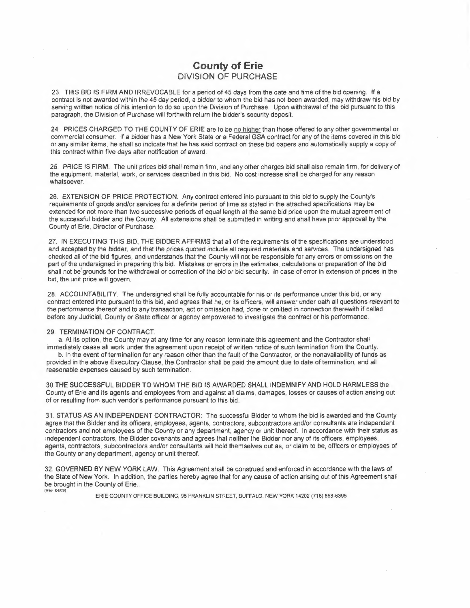# **County of Erie**  DIVISION OF PURCHASE

23. THIS BID IS FIRM AND IRREVOCABLE for a period of 45 days from the date and time of the bid opening. If a contract is not awarded within the 45 day period, a bidder to whom the bid has not been awarded, may withdraw his bid by serving written notice of his intention to do so upon the Division of Purchase. Upon withdrawal of the bid pursuant to this paragraph, the Division of Purchase will forthwith return the bidder's security deposit.

24. PRICES CHARGED TO THE COUNTY OF ERIE are to be no higher than those offered to any other governmental or commercial consumer. If a bidder has a New York State or a Federal GSA contract for any of the items covered in this bid or any similar items, he shall so indicate that he has said contract on these bid papers and automatically supply a copy of this contract within five days after notification of award.

25. PRICE IS FIRM. The unit prices bid shall remain firm, and any other charges bid shall also remain firm, for delivery of the equipment, material, work, or services described in this bid. No cost increase shall be charged for any reason whatsoever.

26. EXTENSION OF PRICE PROTECTION. Any contract entered into pursuant to this bid to supply the County's requirements of goods and/or services for **a** definite period of time as stated in the attached specifications may be extended for not more than two successive periods of equal length at the same bid price upon the mutual agreement of the successful bidder and the County. All extensions shall be submitted in writing and shall have prior approval by the County of Erie, Director of Purchase.

27. IN EXECUTING THIS BID, THE BIDDER AFFIRMS that all of the requirements of the specifications are understood and accepted by the bidder, and that the prices quoted include all required materials and services. The undersigned has checked all of the bid figures, and understands that the County will not be responsible for any errors or omissions on the part of the undersigned in preparing this bid. Mistakes or errors in the estimates, calculations or preparation of the bid shall not be'grounds for the withdrawal or correction of the bid or bid security. In case of error in extension of prices in the bid, the unit price will govern.

28. ACCOUNTABILITY. The undersigned shall be fully accountable for his or its performance under this bid, or any contract entered into pursuant to this bid, and agrees that he, or its officers, will answer under oath all questions relevant to the performance thereof and to any transaction, act or omission had, done or omitted in connection therewith if called before any Judicial, County or State officer or agency empowered to investigate the contract or his performance.

#### 29. TERMINATION OF CONTRACT:

a. At its option, the County *may* at any time for any reason terminate this agreement and the Contractor shall immediately cease all work under the agreement upon receipt of written notice of such termination from the County.

b. In the event of termination for any reason other than the fault of the Contractor, or the nonavailability of funds as provided in the above Executory Clause, the Contractor shall be paid the amount due to date of termination, and all reasonable expenses caused by such termination.

30.THE SUCCESSFUL BIDDER TO WHOM THE BID IS AWARDED SHALL INDEMNIFY AND HOLD HARMLESS the County of Erie and its agents and employees from and against all claims, damages, losses or causes of action arising out of or resulting from such vendor's performance pursuant to this bid.

31. STATUS **AS AN** INDEPENDENT CONTRACTOR: The successful Bidder to whom the bid is awarded and the County agree that the Bidder and its officers, employees, agents, contractors, subcontractors and/or consultants are independent contractors and not employees of the County or any department, agency or unit thereof. In accordance with their status as independent contractors, the Bidder covenants and agrees that neither the Bidder nor any of its officers, employees, agents, contractors, subcontractors and/or consultants will hold themselves out as, or claim to be, officers or employees of the County or any department, agency or unit thereof.

32. GOVERNED BY NEW YORK LAW: This Agreement shall be construed and enforced in accordance with the laws of the State of New York. In addition, the parties hereby agree that for any cause of action arising out of this Agreement shall be brought in the County of Erie. (Rev 04/09)

ERIE COUNTY OFFICE BUILDING, 95 FRANKLIN STREET, BUFFALO, NEW YORK 14202 (716) 858-6395